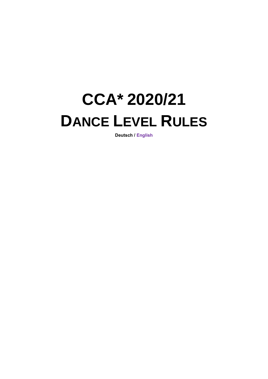# **CCA\* 2020/21 DANCE LEVEL RULES**

**Deutsch / English**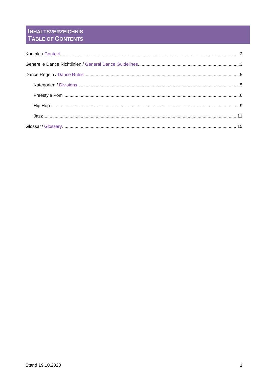# **INHALTSVERZEICHNIS** TABLE OF CONTENTS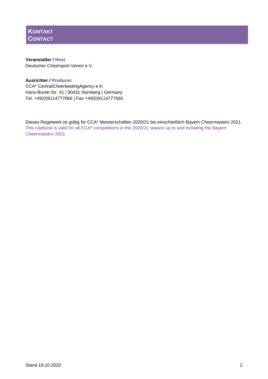

## **Veranstalter / Host** Deutscher Cheersport Verein e.V.

# **Ausrichter / Producer**

CCA\* CentralCheerleadingAgency e.K. Hans-Bunte-Str. 41 | 90431 Nürnberg | Germany Tel. +49(0)9114777666 | Fax +49(0)9114777665

Dieses Regelwerk ist gültig für CCA\* Meisterschaften 2020/21 bis einschließlich Bayern Cheermasters 2021. This rulebook is valid for all CCA\* competitions in the 2020/21 season up to and including the Bayern Cheermasters 2021.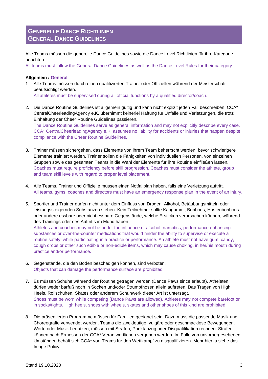# **GENERELLE DANCE RICHTLINIEN GENERAL DANCE GUIDELINES**

Alle Teams müssen die generelle Dance Guidelines sowie die Dance Level Richtlinien für ihre Kategorie beachten.

All teams must follow the General Dance Guidelines as well as the Dance Level Rules for their category.

# **Allgemein / General**

1. Alle Teams müssen durch einen qualifizierten Trainer oder Offiziellen während der Meisterschaft beaufsichtigt werden.

All athletes must be supervised during all official functions by a qualified director/coach.

2. Die Dance Routine Guidelines ist allgemein gültig und kann nicht explizit jeden Fall beschreiben. CCA\* CentralCheerleadingAgency e.K. übernimmt keinerlei Haftung für Unfälle und Verletzungen, die trotz Einhaltung der Cheer Routine Guidelines passieren. The Dance Routine Guidelines serve as general information and may not explicitly describe every case.

CCA\* CentralCheerleadingAgency e.K. assumes no liability for accidents or injuries that happen despite compliance with the Cheer Routine Guidelines.

- 3. Trainer müssen sichergehen, dass Elemente von ihrem Team beherrscht werden, bevor schwierigere Elemente trainiert werden. Trainer sollen die Fähigkeiten von individuellen Personen, von einzelnen Gruppen sowie des gesamten Teams in die Wahl der Elemente für ihre Routine einfließen lassen. Coaches must require proficiency before skill progression. Coaches must consider the athlete, group and team skill levels with regard to proper level placement.
- 4. Alle Teams, Trainer und Offizielle müssen einen Notfallplan haben, falls eine Verletzung auftritt. All teams, gyms, coaches and directors must have an emergency response plan in the event of an injury.
- 5. Sportler und Trainer dürfen nicht unter dem Einfluss von Drogen, Alkohol, Betäubungsmitteln oder leistungssteigernden Substanzen stehen. Kein Teilnehmer sollte Kaugummi, Bonbons, Hustenbonbons oder andere essbare oder nicht essbare Gegenstände, welche Ersticken verursachen können, während des Trainings oder des Auftritts im Mund haben.

Athletes and coaches may not be under the influence of alcohol, narcotics, performance enhancing substances or over-the-counter medications that would hinder the ability to supervise or execute a routine safely, while participating in a practice or performance. An athlete must not have gum, candy, cough drops or other such edible or non-edible items, which may cause choking, in her/his mouth during practice and/or performance.

- 6. Gegenstände, die den Boden beschädigen können, sind verboten. Objects that can damage the performance surface are prohibited.
- 7. Es müssen Schuhe während der Routine getragen werden (Dance Paws since erlaubt). Atheleten dürfen weder barfuß noch in Socken und/oder Strumpfhosen allein auftreten. Das Tragen von High Heels, Rollschuhen, Skates oder anderem Schuhwerk dieser Art ist untersagt. Shoes must be worn while competing (Dance Paws are allowed). Athletes may not compete barefoot or in socks/tights. High heels, shoes with wheels, skates and other shoes of this kind are prohibited.
- 8. Die präsentierten Programme müssen für Familien geeignet sein. Dazu muss die passende Musik und Choreografie verwendet werden. Teams die zweideutige, vulgäre oder geschmacklose Bewegungen, Worte oder Musik benutzen, müssen mit Strafen, Punktabzug oder Disqualifikation rechnen. Strafen können nach Ermessen der CCA\* Verantwortlichen vergeben werden. Im Falle von unvorhergesehenen Umständen behält sich CCA\* vor, Teams für den Wettkampf zu disqualifizieren. Mehr hierzu siehe das Image Policy.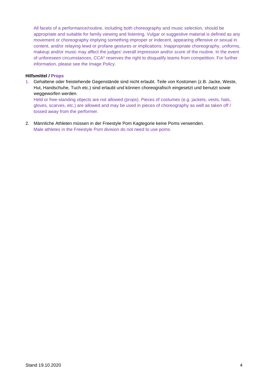All facets of a performance/routine, including both choreography and music selection, should be appropriate and suitable for family viewing and listening. Vulgar or suggestive material is defined as any movement or choreography implying something improper or indecent, appearing offensive or sexual in content, and/or relaying lewd or profane gestures or implications. Inappropriate choreography, uniforms, makeup and/or music may affect the judges' overall impression and/or score of the routine. In the event of unforeseen circumstances, CCA\* reserves the right to disqualify teams from competition. For further information, please see the Image Policy.

## **Hilfsmittel / Props**

1. Gehaltene oder freistehende Gegenstände sind nicht erlaubt. Teile von Kostümen (z.B. Jacke, Weste, Hut, Handschuhe, Tuch etc.) sind erlaubt und können choreografisch eingesetzt und benutzt sowie weggeworfen werden.

Held or free-standing objects are not allowed (props). Pieces of costumes (e.g. jackets, vests, hats, gloves, scarves, etc.) are allowed and may be used in pieces of choreography as well as taken off / tossed away from the performer.

2. Männliche Athleten müssen in der Freestyle Pom Kagtegorie keine Poms verwenden. Male athletes in the Freestyle Pom division do not need to use poms.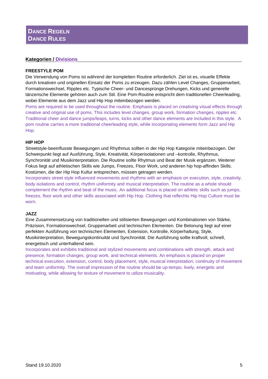# **DANCE REGELN DANCE RULES**

# **Kategorien / Divisions**

## **FREESTYLE POM**

Die Verwendung von Poms ist während der kompletten Routine erforderlich. Ziel ist es, visuelle Effekte durch kreativen und originellen Einsatz der Poms zu erzeugen. Dazu zählen Level Changes, Gruppenarbeit, Formationswechsel, Ripples etc. Typische Cheer- und Dancesprünge Drehungen, Kicks und generelle tänzerische Elemente gehören auch zum Stil. Eine Pom-Routine entspricht dem traditionellen Cheerleading, wobei Elemente aus dem Jazz und Hip Hop miteinbezogen werden.

Poms are required to be used throughout the routine. Emphasis is placed on creativing visual effects through creative and original use of poms. This includes level changes, group work, formation changes, ripples etc. Traditional cheer and dance jumps/leaps, turns, kicks and other dance elements are included in this style. A pom routine carries a more traditional cheerleading style, while incorporating elements form Jazz and Hip Hop.

### **HIP HOP**

Streetstyle-beeinflusste Bewegungen und Rhythmus sollten in der Hip Hop Kategorie miteinbezogen. Der Schwerpunkt liegt auf Ausführung, Style, Kreativität, Körperisolationen und –kontrolle, Rhythmus, Synchronität und Musikinterpretation. Die Routine sollte Rhytmus und Beat der Musik ergänzen. Weiterer Fokus liegt auf athletischen Skills wie Jumps, Freezes, Floor Work, und anderen hip hop-affinden Skills. Kostümen, die der Hip Hop Kultur entsprechen, müssen getragen werden.

Incorporates street style influenced movements and rhythms with an emphasis on execution, style, creativity, body isolations and control, rhythm uniformity and musical interpretation. The routine as a whole should complement the rhythm and beat of the music. An additional focus is placed on athletic skills such as jumps, freezes, floor work and other skills associated with Hip Hop. Clothing that reflechts Hip Hop Culture must be worn.

# **JAZZ**

Eine Zusammensetzung von traditionellen und stilisierten Bewegungen und Kombinationen von Stärke, Präzision, Formationswechsel, Gruppenarbeit und technischen Elementen. Die Betonung liegt auf einer perfekten Ausführung von technischen Elementen, Extension, Kontrolle, Körperhaltung, Style, Musikinterpretation, Bewegungskontinuität und Synchronität. Die Ausführung sollte kraftvoll, schnell, energetisch und unterhaltend sein.

Incorporates and exhibitis traditional and stylized movements and combinations with strength, attack and presence, formation changes, group work, and technical elements. An emphasis is placed on proper technical execution, extension, control, body placement, style, musical interpretation, continuity of movement and team uniformity. The overall impression of the routine should be up-tempo, lively, energetic and motivating, while allowing for texture of movement to utilize musicality.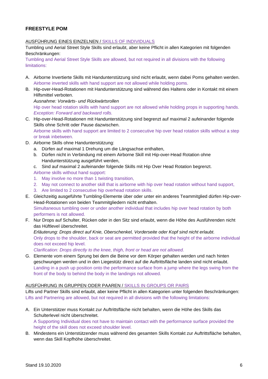# **FREESTYLE POM**

## AUSFÜHRUNG EINES EINZELNEN / SKILLS OF INDIVIDUALS

Tumbling und Aerial Street Style Skills sind erlaubt, aber keine Pflicht in allen Kategorien mit folgenden Beschränkungen:

Tumbling and Aerial Street Style Skills are allowed, but not required in all divisions with the following limitations:

- A. Airborne Invertierte Skills mit Handunterstützung sind nicht erlaubt, wenn dabei Poms gehalten werden. Airborne inverted skills with hand support are not allowed while holding poms.
- B. Hip-over-Head-Rotationen mit Handunterstützung sind während des Haltens oder in Kontakt mit einem Hilfsmittel verboten.

*Ausnahme: Vorwärts- und Rückwärtsrollen* Hip over head rotation skills with hand support are not allowed while holding props in supporting hands. *Exception: Forward and backward rolls.*

- C. Hip-over-Head-Rotationen mit Handunterstützung sind begrenzt auf maximal 2 aufeinander folgende Skills ohne Schritt oder Pause dazwischen. Airborne skills with hand support are limited to 2 consecutive hip over head rotation skills without a step or break inbetween.
- D. Airborne Skills ohne Handunterstützung:
	- a. Dürfen auf maximal 1 Drehung um die Längsachse enthalten,
	- b. Dürfen nicht in Verbindung mit einem Airborne Skill mit Hip-over-Head Rotation ohne Handunterstützung ausgeführt werden,
	- c. Sind auf maximal 2 aufeinander folgende Skills mit Hip Over Head Rotation begrenzt.
	- Airborne skills without hand support:
	- 1. May involve no more than 1 twisting transition,
	- 2. May not connect to another skill that is airborne with hip over head rotation without hand support,
	- 3. Are limited to 2 consecutive hip overhead rotation skills.
- E. Gleichzeitig ausgeführte Tumbling-Elemente über oder unter ein anderes Teammitglied dürfen Hip-over-Head-Rotationen von beiden Teammitgliedern nicht enthalten. Simultaneous tumbling over or under another individual that includes hip over head rotation by both performers is not allowed.
- F. Nur Drops auf Schulter, Rücken oder in den Sitz sind erlaubt, wenn die Höhe des Ausführenden nicht das Hüftlevel überschreitet.

*Erläuterung: Drops direct auf Knie, Oberschenkel, Vorderseite oder Kopf sind nicht erlaubt.* Only drops to the shoulder, back or seat are permitted provided that the height of the airborne individual does not exceed hip level.

*Clarification: Drops directly to the knee, thigh, front or head are not allowed.*

G. Elemente vom einem Sprung bei dem die Beine vor dem Körper gehalten werden und nach hinten geschwungen werden und in den Liegestütz direct auf die Auftrittsfläche landen sind nicht erlaubt. Landing in a push up position onto the performance surface from a jump where the legs swing from the front of the body to behind the body in the landingis not allowed.

#### AUSFÜHRUNG IN GRUPPEN ODER PAAREN / SKILLS IN GROUPS OR PAIRS

Lifts und Partner Skills sind erlaubt, aber keine Pflicht in allen Kategorien unter folgenden Beschränkungen: Lifts and Partnering are allowed, but not required in all divisions with the following limitations:

A. Ein Unterstützer muss Kontakt zur Auftrittsfläche nicht behalten, wenn die Höhe des Skills das Schulterlevel nicht überschreitet.

A Supporting Individual does not have to maintain contact with the performance surface provided the height of the skill does not exceed shoulder level.

B. Mindestens ein Unterstützender muss während des gesamten Skills Kontakt zur Auftrittsfläche behalten, wenn das Skill Kopfhöhe überschreitet.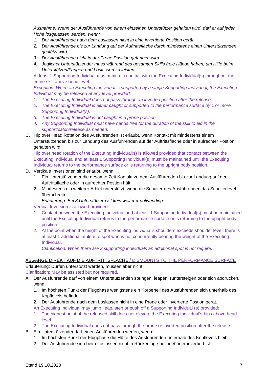*Ausnahme: Wenn der Ausführende von einem einzelnen Unterstützer gehalten wird, darf er auf jeder Höhe losgelassen werden, wenn:*

- *1. Der Ausführende nach dem Loslassen nicht in eine invertierte Position gerät.*
- *2. Der Ausführende bis zur Landung auf der Auftrittsfläche durch mindestens einen Unterstützenden gestützt wird.*
- *3. Der Ausführende nicht in der Prone Position gefangen wird.*
- *4. Jeglicher Unterstützender muss während des gesamten Skills freie Hände haben, um Hilfe beim Unterstützen/Fangen und Loslassen zu leisten.*

At least 1 Supporting Individual must maintain contact with the Executing Individual(s) throughout the entire skill above head level.

*Exception: When an Executing Individual is supported by a single Supporting Individual, the Executing Individual may be released at any level provided:*

- *1. The Executing Individual does not pass through an inverted position after the release.*
- *2. The Executing Individual is either caught or supported to the performance surface by 1 or more Supporting Individual(s).*
- *3. The Executing Individual is not caught in a prone position.*
- *4. Any Supporting Individual must have hands free for the duration of the skill to aid in the support/catch/release as needed.*
- C. Hip over Head Rotation des Ausführenden ist erlaubt, wenn Kontakt mit mindestens einem Unterstützenden bis zur Landung des Ausführenden auf der Auftrittsfläche oder in aufrechter Postion gehalten wird.

Hip over head rotation of the Executing Individual(s) is allowed provided that contact between the Executing Individual and at least 1 Supporting Individual(s) must be maintained until the Executing Individual returns to the performance surface or is returning to the upright body position.

- D. Vertikale Inversionen sind erlaubt, wenn:
	- 1. Ein Unterstützender die gesamte Zeit Kontakt zu dem Ausführenden bis zur Landung auf der Auftrittsfläche oder in aufrechter Postion hält
	- 2. Mindestens ein weiterer Athlet unterstützt, wenn die Schulter des Ausführenden das Schulterlevel überschreitet.

*Erläuterung: Bei 3 Unterstützern ist kein weiterer notwending.*

Vertical Inversion is allowed provided:

- 1. Contact between the Executing Individual and at least 1 Supporting Individual(s) must be maintained until the Executing Individual returns to the performance surface or is returning to the upright body position.
- 2. At the point when the height of the Executing Individual's shoulders exceeds shoulder level, there is at least 1 additional athlete to spot who is not concurrently bearing the weight of the Executing Individual.

*Clarification: When there are 3 supporting individuals an additional spot is not require.*

# ABGÄNGE DIREKT AUF DIE AUFTRITTSFLÄCHE / DISMOUNTS TO THE PERFORMANCE SURFACE Erläuterung: Dürfen unterstützt werden, müssen aber nicht.

Clarification: May be assisted but not required.

- A. Der Ausführende darf von einem Unterstützenden springen, leapen, runtersteigen oder sich abdrücken, wenn:
	- 1. Im höchsten Punkt der Flugphase wenigstens ein Körperteil des Ausführenden sich unterhalb des Kopflevels befindet
	- 2. Der Ausführende nach dem Loslassen nicht in eine Prone oder invertierte Postion gerät.
	- An Executing Individual may jump, leap, step or push off a Supporting Individual (s) provided:
	- 1. The highest point of the released skill does not elevate the Executing Individual's hips above head level.
	- 2. The Executing Individual does not pass through the prone or inverted position after the release.
- B. Ein Unterstützender darf einen Ausführenden werfen, wenn:
	- 1. Im höchsten Punkt der Flugphase die Hüfte des Ausführenden unterhalb des Kopflevels bleibt.
	- 2. Der Ausführende sich beim Loslassen nicht in Rückenlage befindet oder invertiert ist.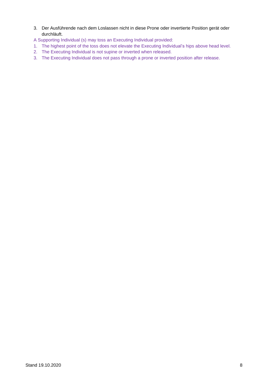3. Der Ausführende nach dem Loslassen nicht in diese Prone oder invertierte Position gerät oder durchläuft.

A Supporting Individual (s) may toss an Executing Individual provided:

- 1. The highest point of the toss does not elevate the Executing Individual's hips above head level.
- 2. The Executing Individual is not supine or inverted when released.
- 3. The Executing Individual does not pass through a prone or inverted position after release.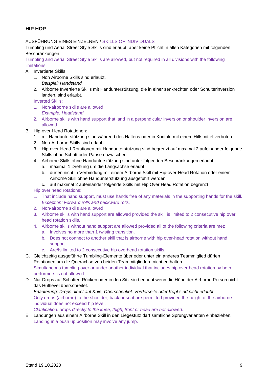# **HIP HOP**

# AUSFÜHRUNG EINES EINZELNEN / SKILLS OF INDIVIDUALS

Tumbling und Aerial Street Style Skills sind erlaubt, aber keine Pflicht in allen Kategorien mit folgenden Beschränkungen:

Tumbling and Aerial Street Style Skills are allowed, but not required in all divisions with the following limitations:

- A. Invertierte Skills:
	- 1. Non Airborne Skills sind erlaubt. *Beispiel: Handstand*
	- 2. Airborne Invertierte Skills mit Handunterstützung, die in einer senkrechten oder Schulterinversion landen, sind erlaubt.

Inverted Skills:

- 1. Non-airborne skills are allowed *Example: Headstand*
- 2. Airborne skills with hand support that land in a perpendicular inversion or shoulder inversion are allowed.
- B. Hip-over-Head Rotationen:
	- 1. mit Handunterstützung sind während des Haltens oder in Kontakt mit einem Hilfsmittel verboten.
	- 2. Non-Airborne Skills sind erlaubt.
	- 3. Hip-over-Head-Rotationen mit Handunterstützung sind begrenzt auf maximal 2 aufeinander folgende Skills ohne Schritt oder Pause dazwischen.
	- 4. Airborne Skills ohne Handunterstützung sind unter folgenden Beschränkungen erlaubt:
		- a. maximal 1 Drehung um die Längsachse erlaubt
		- b. dürfen nicht in Verbindung mit einem Airborne Skill mit Hip-over-Head Rotation oder einem Airborne Skill ohne Handunterstützung ausgeführt werden.
		- c. auf maximal 2 aufeinander folgende Skills mit Hip Over Head Rotation begrenzt

Hip over head rotations:

- 1. That include hand support, must use hands free of any materials in the supporting hands for the skill. *Exception: Forward rolls and backward rolls.*
- 2. Non-airborne skills are allowed.
- 3. Airborne skills with hand support are allowed provided the skill is limited to 2 consecutive hip over head rotation skills.
- 4. Airborne skills without hand support are allowed provided all of the following criteria are met:
	- a. Involves no more than 1 twisting transition.
	- b. Does not connect to another skill that is airborne with hip over-head rotation without hand support.
	- c. Are/Is limited to 2 consecutive hip overhead rotation skills.
- C. Gleichzeitig ausgeführte Tumbling-Elemente über oder unter ein anderes Teammiglied dürfen Rotationen um die Querachse von beiden Teammitgliedern nicht enthalten. Simultaneous tumbling over or under another individual that includes hip over head rotation by both performers is not allowed.
- D. Nur Drops auf Schulter, Rücken oder in den Sitz sind erlaubt wenn die Höhe der Airborne Person nicht das Hüftlevel überschreitet.

*Erläuterung: Drops direct auf Knie, Oberschenkel, Vorderseite oder Kopf sind nicht erlaubt.* Only drops (airborne) to the shoulder, back or seat are permitted provided the height of the airborne individual does not exceed hip level.

*Clarification: drops directly to the knee, thigh, front or head are not allowed.*

E. Landungen aus einem Airborne Skill in den Liegestütz darf sämtliche Sprungvarianten einbeziehen. Landing in a push up position may involve any jump.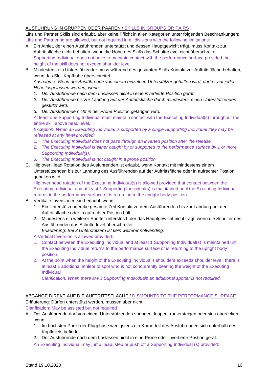# AUSFÜHRUNG IN GRUPPEN ODER PAAREN / SKILLS IN GROUPS OR PAIRS

Lifts und Partner Skills sind erlaubt, aber keine Pflicht in allen Kategorien unter folgenden Beschränkungen: Lifts and Partnering are allowed, but not required in all divisions with the following limitations:

- A. Ein Athlet, der einen Ausführenden unterstützt und dessen Hauptgewicht trägt, muss Kontakt zur Auftrittsfläche nicht behalten, wenn die Höhe des Skills das Schulterlevel nicht überschreitet. Supporting Individual does not have to maintain contact with the performance surface provided the height of the skill does not exceed shoulder level.
- B. Mindestens ein Unterstützender muss während des gesamten Skills Kontakt zur Auftrittsfläche behalten, wenn das Skill Kopfhöhe überschreitet.

*Ausnahme: Wenn der Ausführende von einem einzelnen Unterstützer gehalten wird, darf er auf jeder Höhe losgelassen werden, wenn:*

- *1. Der Ausführende nach dem Loslassen nicht in eine invertierte Position gerät.*
- *2. Der Ausführende bis zur Landung auf der Auftrittsfläche durch mindestens einen Unterstützenden gestützt wird.*
- *3. Der Ausführende nicht in der Prone Position gefangen wird.*

At least one Supporting Individual must maintain contact with the Executing Individual(s) throughout the entire skill above head level.

*Exception: When an Executing Individual is supported by a single Supporting Individual they may be released at any level provided:*

- *1. The Executing Individual does not pass through an inverted position after the release.*
- 2. The Executing Individual is either caught by or supported to the performance surface by 1 or more *Supporting Individual(s).*
- *3. The Executing Individual is not caught in a prone position.*
- C. Hip over Head Rotation des Ausführenden ist erlaubt, wenn Kontakt mit mindestens einem Unterstützenden bis zur Landung des Ausführenden auf der Auftrittsfläche oder in aufrechter Postion gehalten wird.

Hip over head rotation of the Executing Individual(s) is allowed provided that contact between the Executing Individual and at least 1 Supporting Individual(s) is maintained until the Executing Individual returns to the performance surface or is returning to the upright body position.

- B. Vertikale Inversionen sind erlaubt, wenn
	- 1. Ein Unterstützender die gesamte Zeit Kontakt zu dem Ausführenden bis zur Landung auf der Auftrittsfläche oder in aufrechter Postion hält
	- 2. Mindestens ein weiterer Spotter unterstützt, der das Hauptgewicht nicht trägt, wenn die Schulter des Ausführenden das Schulterlevel überschreitet.
		- *Erläuterung: Bei 3 Unterstützern ist kein weiterer notwending.*
	- A Vertical Inversion is allowed provided:
	- 1. Contact between the Executing Individual and at least 1 Supporting Individual(s) is maintained until the Executing Individual returns to the performance surface or is returning to the upright body position.
	- 2. At the point when the height of the Executing Individual's shoulders exceeds shoulder level, there is at least 1 additional athlete to spot who is not concurrently bearing the weight of the Executing Individual

*Clarification: When there are 3 Supporting Individuals an additional spotter is not required.*

# ABGÄNGE DIREKT AUF DIE AUFTRITTSFLÄCHE / DISMOUNTS TO THE PERFORMANCE SURFACE Erläuterung: Dürfen unterstützt werden, müssen aber nicht.

Clarification: May be assisted but not required

- A. Der Ausführende darf von einem Unterstützenden springen, leapen, runtersteigen oder sich abdrücken, wenn:
	- 1. Im höchsten Punkt der Flugphase wenigstens ein Körperteil des Ausführenden sich unterhalb des Kopflevels befindet
	- 2. Der Ausführende nach dem Loslassen nicht in eine Prone oder invertierte Postion gerät.

An Executing Individual may jump, leap, step or push off a Supporting Individual (s) provided: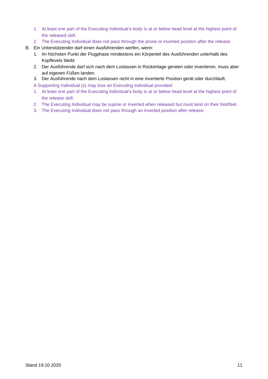- 1. At least one part of the Executing Individual's body is at or below head level at the highest point of the released skill.
- 2. The Executing Individual does not pass through the prone or inverted position after the release.
- B. Ein Unterstützender darf einen Ausführenden werfen, wenn:
	- 1. Im höchsten Punkt der Flugphase mindestens ein Körperteil des Ausführenden unterhalb des Kopflevels bleibt
	- 2. Der Ausführende darf sich nach dem Loslassen in Rückenlage geraten oder invertieren, muss aber auf eigenen Füßen landen.
	- 3. Der Ausführende nach dem Loslassen nicht in eine invertierte Position gerät oder durchläuft.
	- A Supporting Individual (s) may toss an Executing Individual provided:
	- 1. At least one part of the Executing Individual's body is at or below head level at the highest point of the release skill.
	- 2. The Executing Individual may be supine or inverted when released but must land on their foot/feet.
	- 3. The Executing Individual does not pass through an inverted position after release.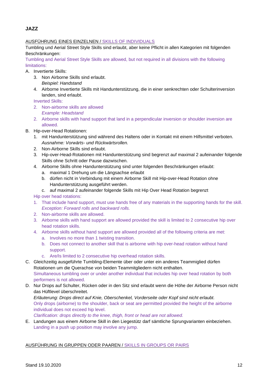**JAZZ**

# AUSFÜHRUNG EINES EINZELNEN / SKILLS OF INDIVIDUALS

Tumbling und Aerial Street Style Skills sind erlaubt, aber keine Pflicht in allen Kategorien mit folgenden Beschränkungen:

Tumbling and Aerial Street Style Skills are allowed, but not required in all divisions with the following limitations:

- A. Invertierte Skills:
	- 3. Non Airborne Skills sind erlaubt. *Beispiel: Handstand*
	- 4. Airborne Invertierte Skills mit Handunterstützung, die in einer senkrechten oder Schulterinversion landen, sind erlaubt.

Inverted Skills:

- 2. Non-airborne skills are allowed *Example: Headstand*
- 2. Airborne skills with hand support that land in a perpendicular inversion or shoulder inversion are allowed.
- B. Hip-over-Head Rotationen:
	- 1. mit Handunterstützung sind während des Haltens oder in Kontakt mit einem Hilfsmittel verboten. *Ausnahme: Vorwärts- und Rückwärtsrollen.*
	- 2. Non-Airborne Skills sind erlaubt.
	- 3. Hip-over-Head-Rotationen mit Handunterstützung sind begrenzt auf maximal 2 aufeinander folgende Skills ohne Schritt oder Pause dazwischen.
	- 4. Airborne Skills ohne Handunterstützung sind unter folgenden Beschränkungen erlaubt:
		- a. maximal 1 Drehung um die Längsachse erlaubt
		- b. dürfen nicht in Verbindung mit einem Airborne Skill mit Hip-over-Head Rotation ohne Handunterstützung ausgeführt werden.
		- c. auf maximal 2 aufeinander folgende Skills mit Hip Over Head Rotation begrenzt

Hip over head rotations:

- 1. That include hand support, must use hands free of any materials in the supporting hands for the skill. *Exception: Forward rolls and backward rolls.*
- 2. Non-airborne skills are allowed.
- 3. Airborne skills with hand support are allowed provided the skill is limited to 2 consecutive hip over head rotation skills.
- 4. Airborne skills without hand support are allowed provided all of the following criteria are met:
	- a. Involves no more than 1 twisting transition.
	- b. Does not connect to another skill that is airborne with hip over-head rotation without hand support.
	- c. Are/Is limited to 2 consecutive hip overhead rotation skills.

C. Gleichzeitig ausgeführte Tumbling-Elemente über oder unter ein anderes Teammiglied dürfen Rotationen um die Querachse von beiden Teammitgliedern nicht enthalten. Simultaneous tumbling over or under another individual that includes hip over head rotation by both performers is not allowed.

D. Nur Drops auf Schulter, Rücken oder in den Sitz sind erlaubt wenn die Höhe der Airborne Person nicht das Hüftlevel überschreitet.

*Erläuterung: Drops direct auf Knie, Oberschenkel, Vorderseite oder Kopf sind nicht erlaubt.* Only drops (airborne) to the shoulder, back or seat are permitted provided the height of the airborne individual does not exceed hip level.

*Clarification: drops directly to the knee, thigh, front or head are not allowed.*

E. Landungen aus einem Airborne Skill in den Liegestütz darf sämtliche Sprungvarianten einbeziehen. Landing in a push up position may involve any jump.

# AUSFÜHRUNG IN GRUPPEN ODER PAAREN / SKILLS IN GROUPS OR PAIRS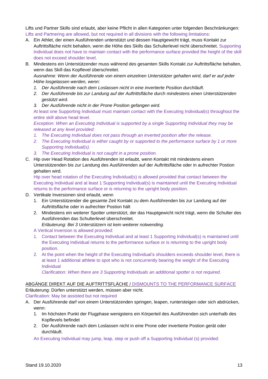Lifts und Partner Skills sind erlaubt, aber keine Pflicht in allen Kategorien unter folgenden Beschränkungen: Lifts and Partnering are allowed, but not required in all divisions with the following limitations:

- A. Ein Athlet, der einen Ausführenden unterstützt und dessen Hauptgewicht trägt, muss Kontakt zur Auftrittsfläche nicht behalten, wenn die Höhe des Skills das Schulterlevel nicht überschreitet. Supporting Individual does not have to maintain contact with the performance surface provided the height of the skill does not exceed shoulder level.
- B. Mindestens ein Unterstützender muss während des gesamten Skills Kontakt zur Auftrittsfläche behalten, wenn das Skill das Kopflevel überschreitet.

*Ausnahme: Wenn der Ausführende von einem einzelnen Unterstützer gehalten wird, darf er auf jeder Höhe losgelassen werden, wenn:*

- *1. Der Ausführende nach dem Loslassen nicht in eine invertierte Position durchläuft.*
- *2. Der Ausführende bis zur Landung auf der Auftrittsfläche durch mindestens einen Unterstützenden gestützt wird.*
- *3. Der Ausführende nicht in der Prone Position gefangen wird.*

At least one Supporting Individual must maintain contact with the Executing Individual(s) throughout the entire skill above head level.

*Exception: When an Executing Individual is supported by a single Supporting Individual they may be released at any level provided:*

- *1. The Executing Individual does not pass through an inverted position after the release.*
- 2. The Executing Individual is either caught by or supported to the performance surface by 1 or more *Supporting Individual(s).*
- *3. The Executing Individual is not caught in a prone position.*
- C. Hip over Head Rotation des Ausführenden ist erlaubt, wenn Kontakt mit mindestens einem Unterstützenden bis zur Landung des Ausführenden auf der Auftrittsfläche oder in aufrechter Postion gehalten wird.

Hip over head rotation of the Executing Individual(s) is allowed provided that contact between the Executing Individual and at least 1 Supporting Individual(s) is maintained until the Executing Individual returns to the performance surface or is returning to the upright body position.

- D. Vertikale Inversionen sind erlaubt, wenn
	- 1. Ein Unterstützender die gesamte Zeit Kontakt zu dem Ausführenden bis zur Landung auf der Auftrittsfläche oder in aufrechter Postion hält
	- 2. Mindestens ein weiterer Spotter unterstützt, der das Hauptgewicht nicht trägt, wenn die Schulter des Ausführenden das Schulterlevel überschreitet.
		- *Erläuterung: Bei 3 Unterstützern ist kein weiterer notwending.*

A Vertical Inversion is allowed provided:

- 1. Contact between the Executing Individual and at least 1 Supporting Individual(s) is maintained until the Executing Individual returns to the performance surface or is returning to the upright body position.
- 2. At the point when the height of the Executing Individual's shoulders exceeds shoulder level, there is at least 1 additional athlete to spot who is not concurrently bearing the weight of the Executing Individual

*Clarification: When there are 3 Supporting Individuals an additional spotter is not required.*

ABGÄNGE DIREKT AUF DIE AUFTRITTSFLÄCHE / DISMOUNTS TO THE PERFORMANCE SURFACE Erläuterung: Dürfen unterstützt werden, müssen aber nicht.

- Clarification: May be assisted but not required
- A. Der Ausführende darf von einem Unterstützenden springen, leapen, runtersteigen oder sich abdrücken, wenn:
	- 1. Im höchsten Punkt der Flugphase wenigstens ein Körperteil des Ausführenden sich unterhalb des Kopflevels befindet
	- 2. Der Ausführende nach dem Loslassen nicht in eine Prone oder invertierte Postion gerät oder durchläuft.

An Executing Individual may jump, leap, step or push off a Supporting Individual (s) provided: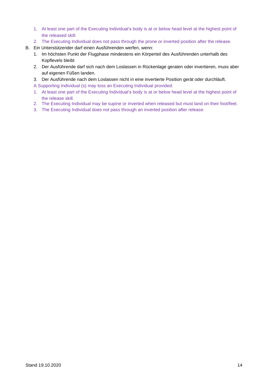- 1. At least one part of the Executing Individual's body is at or below head level at the highest point of the released skill.
- 2. The Executing Individual does not pass through the prone or inverted position after the release.
- B. Ein Unterstützender darf einen Ausführenden werfen, wenn:
	- 1. Im höchsten Punkt der Flugphase mindestens ein Körperteil des Ausführenden unterhalb des Kopflevels bleibt
	- 2. Der Ausführende darf sich nach dem Loslassen in Rückenlage geraten oder invertieren, muss aber auf eigenen Füßen landen.
	- 3. Der Ausführende nach dem Loslassen nicht in eine invertierte Position gerät oder durchläuft.
	- A Supporting Individual (s) may toss an Executing Individual provided:
	- 1. At least one part of the Executing Individual's body is at or below head level at the highest point of the release skill.
	- 2. The Executing Individual may be supine or inverted when released but must land on their foot/feet.
	- 3. The Executing Individual does not pass through an inverted position after release.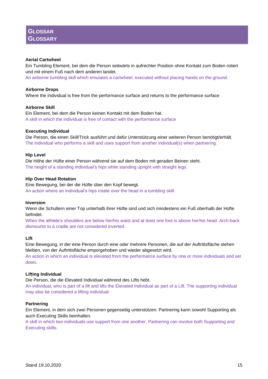## **Aerial Cartwheel**

Ein Tumbling Element, bei dem die Person seitwärts in aufrechter Position ohne Kontakt zum Boden rotiert und mit einem Fuß nach dem anderen landet.

An airborne tumbling skill which emulates a cartwheel, executed without placing hands on the ground.

#### **Airborne Drops**

Where the individual is free from the performance surface and returns to the performance surface

### **Airborne Skill**

Ein Element, bei dem die Person keinen Kontakt mit dem Boden hat. A skill in which the individual is free of contact with the performance surface

#### **Executing Individual**

Die Person, die einen Skill/Trick ausführt und dafür Unterstützung einer weiteren Person benötigt/erhält. The individual who performs a skill and uses support from another individual(s) when partnering.

### **Hip Level**

Die Höhe der Hüfte einer Person während sie auf dem Boden mit geraden Beinen steht. The height of a standing individual's hips while standing upright with straight legs.

### **Hip Over Head Rotation**

Eine Bewegung, bei der die Hüfte über den Kopf bewegt. An action where an individual's hips rotate over the head in a tumbling skill.

#### **Inversion**

Wenn die Schultern einer Top unterhalb ihrer Hüfte sind und sich mindestens ein Fuß oberhalb der Hüfte befindet.

When the athlete's shoulders are below her/his waist and at least one foot is above her/his head. Arch-back dismounts to a cradle are not considered inverted.

## **Lift**

Eine Bewegung, in der eine Person durch eine oder mehrere Personen, die auf der Auftrittsfläche stehen bleiben, von der Auftrittsfläche emporgehoben und wieder abgesetzt wird.

An action in which an individual is elevated from the performance surface by one or more individuals and set down.

#### **Lifting Individual**

Die Person, die die Elevated Individual während des Lifts hebt.

An individual, who is part of a lift and lifts the Elevated Individual as part of a Lift. The supporting individual may also be considered a lifting individual.

## **Partnering**

Ein Element, in dem sich zwei Personen gegenseitig unterstützen. Partnering kann sowohl Supporting als auch Executing Skills beinhalten.

A skill in which two individuals use support from one another. Partnering can involve both Supporting and Executing skills.